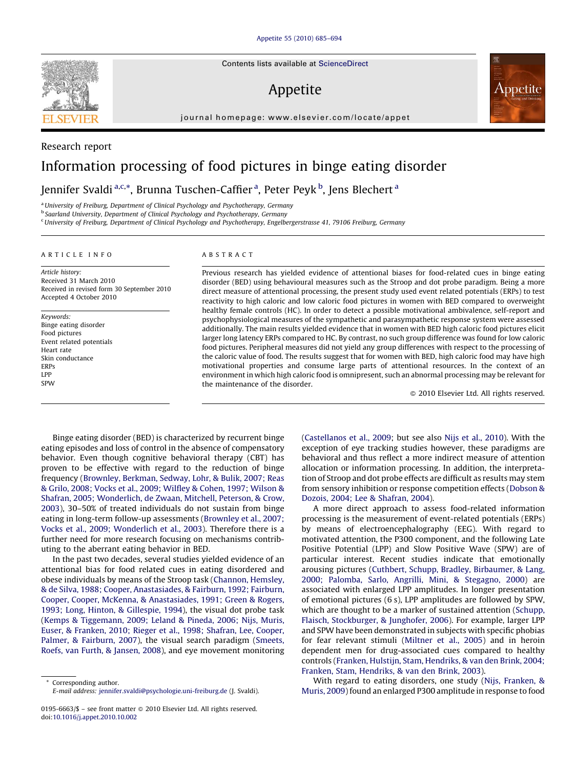Contents lists available at [ScienceDirect](http://www.sciencedirect.com/science/journal/01956663)

## Appetite

journal homepage: www.elsevier.com/locate/appet

### Research report

### Information processing of food pictures in binge eating disorder

Jennifer Svaldi <sup>a,c,</sup>\*, Brunna Tuschen-Caffier <sup>a</sup>, Peter Peyk <sup>b</sup>, Jens Blechert <sup>a</sup>

<sup>a</sup>University of Freiburg, Department of Clinical Psychology and Psychotherapy, Germany

**b** Saarland University, Department of Clinical Psychology and Psychotherapy, Germany

<sup>c</sup>University of Freiburg, Department of Clinical Psychology and Psychotherapy, Engelbergerstrasse 41, 79106 Freiburg, Germany

#### ARTICLE INFO

Article history: Received 31 March 2010 Received in revised form 30 September 2010 Accepted 4 October 2010

Keywords: Binge eating disorder Food pictures Event related potentials Heart rate Skin conductance ERPs LPP **SPW** 

#### ABSTRACT

Previous research has yielded evidence of attentional biases for food-related cues in binge eating disorder (BED) using behavioural measures such as the Stroop and dot probe paradigm. Being a more direct measure of attentional processing, the present study used event related potentials (ERPs) to test reactivity to high caloric and low caloric food pictures in women with BED compared to overweight healthy female controls (HC). In order to detect a possible motivational ambivalence, self-report and psychophysiological measures of the sympathetic and parasympathetic response system were assessed additionally. The main results yielded evidence that in women with BED high caloric food pictures elicit larger long latency ERPs compared to HC. By contrast, no such group difference was found for low caloric food pictures. Peripheral measures did not yield any group differences with respect to the processing of the caloric value of food. The results suggest that for women with BED, high caloric food may have high motivational properties and consume large parts of attentional resources. In the context of an environment in which high caloric food is omnipresent, such an abnormal processing may be relevant for the maintenance of the disorder.

- 2010 Elsevier Ltd. All rights reserved.

Binge eating disorder (BED) is characterized by recurrent binge eating episodes and loss of control in the absence of compensatory behavior. Even though cognitive behavioral therapy (CBT) has proven to be effective with regard to the reduction of binge frequency ([Brownley, Berkman, Sedway, Lohr, & Bulik, 2007; Reas](#page--1-0) [& Grilo, 2008; Vocks et al., 2009; Wilfley & Cohen, 1997; Wilson &](#page--1-0) [Shafran, 2005; Wonderlich, de Zwaan, Mitchell, Peterson, & Crow,](#page--1-0) [2003\)](#page--1-0), 30–50% of treated individuals do not sustain from binge eating in long-term follow-up assessments ([Brownley et al., 2007;](#page--1-0) [Vocks et al., 2009; Wonderlich et al., 2003\)](#page--1-0). Therefore there is a further need for more research focusing on mechanisms contributing to the aberrant eating behavior in BED.

In the past two decades, several studies yielded evidence of an attentional bias for food related cues in eating disordered and obese individuals by means of the Stroop task ([Channon, Hemsley,](#page--1-0) [& de Silva, 1988; Cooper, Anastasiades, & Fairburn, 1992; Fairburn,](#page--1-0) [Cooper, Cooper, McKenna, & Anastasiades, 1991; Green & Rogers,](#page--1-0) [1993; Long, Hinton, & Gillespie, 1994](#page--1-0)), the visual dot probe task ([Kemps & Tiggemann, 2009; Leland & Pineda, 2006; Nijs, Muris,](#page--1-0) [Euser, & Franken, 2010; Rieger et al., 1998; Shafran, Lee, Cooper,](#page--1-0) [Palmer, & Fairburn, 2007\)](#page--1-0), the visual search paradigm [\(Smeets,](#page--1-0) [Roefs, van Furth, & Jansen, 2008](#page--1-0)), and eye movement monitoring ([Castellanos et al., 2009;](#page--1-0) but see also [Nijs et al., 2010\)](#page--1-0). With the exception of eye tracking studies however, these paradigms are behavioral and thus reflect a more indirect measure of attention allocation or information processing. In addition, the interpretation of Stroop and dot probe effects are difficult as results may stem from sensory inhibition or response competition effects [\(Dobson &](#page--1-0) [Dozois, 2004; Lee & Shafran, 2004\)](#page--1-0).

A more direct approach to assess food-related information processing is the measurement of event-related potentials (ERPs) by means of electroencephalography (EEG). With regard to motivated attention, the P300 component, and the following Late Positive Potential (LPP) and Slow Positive Wave (SPW) are of particular interest. Recent studies indicate that emotionally arousing pictures [\(Cuthbert, Schupp, Bradley, Birbaumer, & Lang,](#page--1-0) [2000; Palomba, Sarlo, Angrilli, Mini, & Stegagno, 2000\)](#page--1-0) are associated with enlarged LPP amplitudes. In longer presentation of emotional pictures (6 s), LPP amplitudes are followed by SPW, which are thought to be a marker of sustained attention ([Schupp,](#page--1-0) [Flaisch, Stockburger, & Junghofer, 2006](#page--1-0)). For example, larger LPP and SPW have been demonstrated in subjects with specific phobias for fear relevant stimuli ([Miltner et al., 2005](#page--1-0)) and in heroin dependent men for drug-associated cues compared to healthy controls [\(Franken, Hulstijn, Stam, Hendriks, & van den Brink, 2004;](#page--1-0) [Franken, Stam, Hendriks, & van den Brink, 2003\)](#page--1-0).

With regard to eating disorders, one study [\(Nijs, Franken, &](#page--1-0) [Muris, 2009](#page--1-0)) found an enlarged P300 amplitude in response to food





Corresponding author. E-mail address: [jennifer.svaldi@psychologie.uni-freiburg.de](mailto:jennifer.svaldi@psychologie.uni-freiburg.de) (J. Svaldi).

<sup>0195-6663/\$ –</sup> see front matter © 2010 Elsevier Ltd. All rights reserved. doi:[10.1016/j.appet.2010.10.002](http://dx.doi.org/10.1016/j.appet.2010.10.002)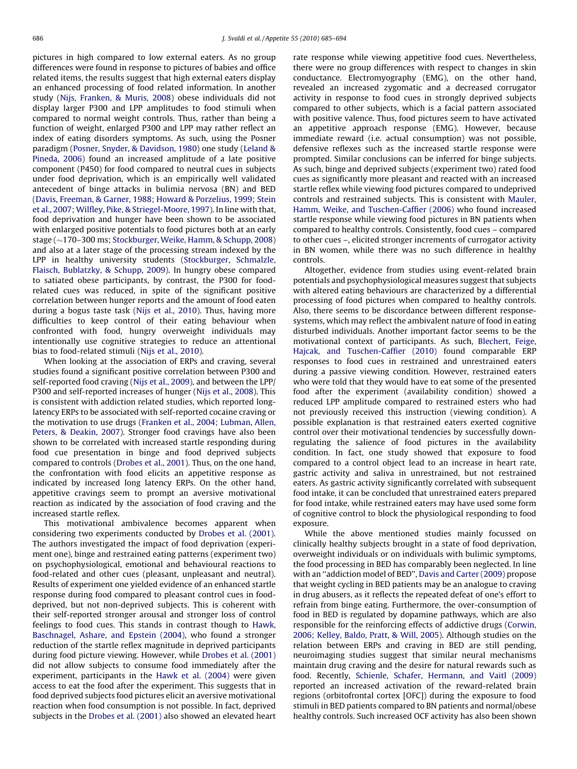pictures in high compared to low external eaters. As no group differences were found in response to pictures of babies and office related items, the results suggest that high external eaters display an enhanced processing of food related information. In another study [\(Nijs, Franken, & Muris, 2008\)](#page--1-0) obese individuals did not display larger P300 and LPP amplitudes to food stimuli when compared to normal weight controls. Thus, rather than being a function of weight, enlarged P300 and LPP may rather reflect an index of eating disorders symptoms. As such, using the Posner paradigm ([Posner, Snyder, & Davidson, 1980](#page--1-0)) one study [\(Leland &](#page--1-0) [Pineda, 2006\)](#page--1-0) found an increased amplitude of a late positive component (P450) for food compared to neutral cues in subjects under food deprivation, which is an empirically well validated antecedent of binge attacks in bulimia nervosa (BN) and BED ([Davis, Freeman, & Garner, 1988; Howard & Porzelius, 1999; Stein](#page--1-0) [et al., 2007; Wilfley, Pike, & Striegel-Moore, 1997](#page--1-0)). In line with that, food deprivation and hunger have been shown to be associated with enlarged positive potentials to food pictures both at an early stage (~170–300 ms; [Stockburger, Weike, Hamm, & Schupp, 2008\)](#page--1-0) and also at a later stage of the processing stream indexed by the LPP in healthy university students ([Stockburger, Schmalzle,](#page--1-0) [Flaisch, Bublatzky, & Schupp, 2009\)](#page--1-0). In hungry obese compared to satiated obese participants, by contrast, the P300 for foodrelated cues was reduced, in spite of the significant positive correlation between hunger reports and the amount of food eaten during a bogus taste task ([Nijs et al., 2010](#page--1-0)). Thus, having more difficulties to keep control of their eating behaviour when confronted with food, hungry overweight individuals may intentionally use cognitive strategies to reduce an attentional bias to food-related stimuli [\(Nijs et al., 2010](#page--1-0)).

When looking at the association of ERPs and craving, several studies found a significant positive correlation between P300 and self-reported food craving ([Nijs et al., 2009\)](#page--1-0), and between the LPP/ P300 and self-reported increases of hunger ([Nijs et al., 2008\)](#page--1-0). This is consistent with addiction related studies, which reported longlatency ERPs to be associated with self-reported cocaine craving or the motivation to use drugs [\(Franken et al., 2004; Lubman, Allen,](#page--1-0) [Peters, & Deakin, 2007\)](#page--1-0). Stronger food cravings have also been shown to be correlated with increased startle responding during food cue presentation in binge and food deprived subjects compared to controls [\(Drobes et al., 2001](#page--1-0)). Thus, on the one hand, the confrontation with food elicits an appetitive response as indicated by increased long latency ERPs. On the other hand, appetitive cravings seem to prompt an aversive motivational reaction as indicated by the association of food craving and the increased startle reflex.

This motivational ambivalence becomes apparent when considering two experiments conducted by [Drobes et al. \(2001\).](#page--1-0) The authors investigated the impact of food deprivation (experiment one), binge and restrained eating patterns (experiment two) on psychophysiological, emotional and behavioural reactions to food-related and other cues (pleasant, unpleasant and neutral). Results of experiment one yielded evidence of an enhanced startle response during food compared to pleasant control cues in fooddeprived, but not non-deprived subjects. This is coherent with their self-reported stronger arousal and stronger loss of control feelings to food cues. This stands in contrast though to [Hawk,](#page--1-0) [Baschnagel, Ashare, and Epstein \(2004\),](#page--1-0) who found a stronger reduction of the startle reflex magnitude in deprived participants during food picture viewing. However, while [Drobes et al. \(2001\)](#page--1-0) did not allow subjects to consume food immediately after the experiment, participants in the [Hawk et al. \(2004\)](#page--1-0) were given access to eat the food after the experiment. This suggests that in food deprived subjects food pictures elicit an aversive motivational reaction when food consumption is not possible. In fact, deprived subjects in the [Drobes et al. \(2001\)](#page--1-0) also showed an elevated heart rate response while viewing appetitive food cues. Nevertheless, there were no group differences with respect to changes in skin conductance. Electromyography (EMG), on the other hand, revealed an increased zygomatic and a decreased corrugator activity in response to food cues in strongly deprived subjects compared to other subjects, which is a facial pattern associated with positive valence. Thus, food pictures seem to have activated an appetitive approach response (EMG). However, because immediate reward (i.e. actual consumption) was not possible, defensive reflexes such as the increased startle response were prompted. Similar conclusions can be inferred for binge subjects. As such, binge and deprived subjects (experiment two) rated food cues as significantly more pleasant and reacted with an increased startle reflex while viewing food pictures compared to undeprived controls and restrained subjects. This is consistent with [Mauler,](#page--1-0) [Hamm, Weike, and Tuschen-Caffier \(2006\)](#page--1-0) who found increased startle response while viewing food pictures in BN patients when compared to healthy controls. Consistently, food cues – compared to other cues –, elicited stronger increments of currogator activity in BN women, while there was no such difference in healthy controls.

Altogether, evidence from studies using event-related brain potentials and psychophysiological measures suggest that subjects with altered eating behaviours are characterized by a differential processing of food pictures when compared to healthy controls. Also, there seems to be discordance between different responsesystems, which may reflect the ambivalent nature of food in eating disturbed individuals. Another important factor seems to be the motivational context of participants. As such, [Blechert, Feige,](#page--1-0) [Hajcak, and Tuschen-Caffier \(2010\)](#page--1-0) found comparable ERP responses to food cues in restrained and unrestrained eaters during a passive viewing condition. However, restrained eaters who were told that they would have to eat some of the presented food after the experiment (availability condition) showed a reduced LPP amplitude compared to restrained esters who had not previously received this instruction (viewing condition). A possible explanation is that restrained eaters exerted cognitive control over their motivational tendencies by successfully downregulating the salience of food pictures in the availability condition. In fact, one study showed that exposure to food compared to a control object lead to an increase in heart rate, gastric activity and saliva in unrestrained, but not restrained eaters. As gastric activity significantly correlated with subsequent food intake, it can be concluded that unrestrained eaters prepared for food intake, while restrained eaters may have used some form of cognitive control to block the physiological responding to food exposure.

While the above mentioned studies mainly focussed on clinically healthy subjects brought in a state of food deprivation, overweight individuals or on individuals with bulimic symptoms, the food processing in BED has comparably been neglected. In line with an ''addiction model of BED'', [Davis and Carter \(2009\)](#page--1-0) propose that weight cycling in BED patients may be an analogue to craving in drug abusers, as it reflects the repeated defeat of one's effort to refrain from binge eating. Furthermore, the over-consumption of food in BED is regulated by dopamine pathways, which are also responsible for the reinforcing effects of addictive drugs [\(Corwin,](#page--1-0) [2006; Kelley, Baldo, Pratt, & Will, 2005](#page--1-0)). Although studies on the relation between ERPs and craving in BED are still pending, neuroimaging studies suggest that similar neural mechanisms maintain drug craving and the desire for natural rewards such as food. Recently, [Schienle, Schafer, Hermann, and Vaitl \(2009\)](#page--1-0) reported an increased activation of the reward-related brain regions (orbitofrontal cortex [OFC]) during the exposure to food stimuli in BED patients compared to BN patients and normal/obese healthy controls. Such increased OCF activity has also been shown